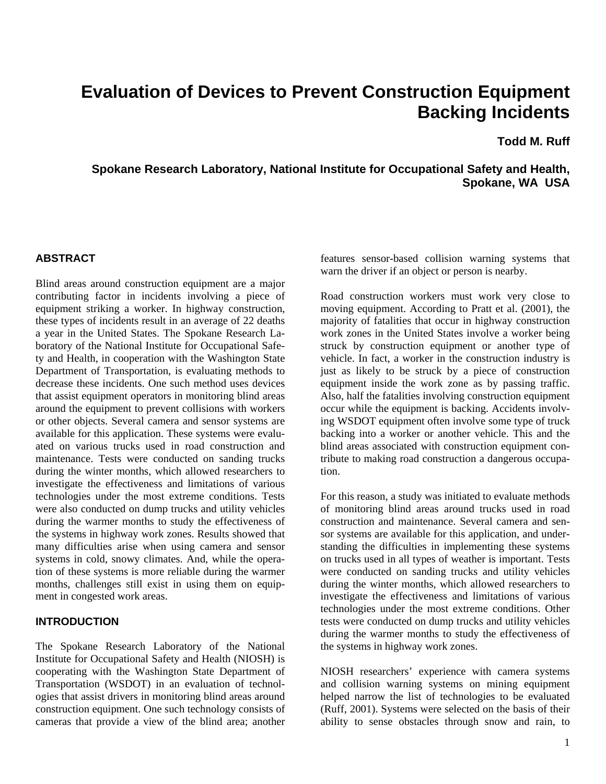# **Evaluation of Devices to Prevent Construction Equipment Backing Incidents**

**Todd M. Ruff** 

# **Spokane Research Laboratory, National Institute for Occupational Safety and Health, Spokane, WA USA**

## **ABSTRACT**

Blind areas around construction equipment are a major contributing factor in incidents involving a piece of equipment striking a worker. In highway construction, these types of incidents result in an average of 22 deaths a year in the United States. The Spokane Research Laboratory of the National Institute for Occupational Safety and Health, in cooperation with the Washington State Department of Transportation, is evaluating methods to decrease these incidents. One such method uses devices that assist equipment operators in monitoring blind areas around the equipment to prevent collisions with workers or other objects. Several camera and sensor systems are available for this application. These systems were evaluated on various trucks used in road construction and maintenance. Tests were conducted on sanding trucks during the winter months, which allowed researchers to investigate the effectiveness and limitations of various technologies under the most extreme conditions. Tests were also conducted on dump trucks and utility vehicles during the warmer months to study the effectiveness of the systems in highway work zones. Results showed that many difficulties arise when using camera and sensor systems in cold, snowy climates. And, while the operation of these systems is more reliable during the warmer months, challenges still exist in using them on equipment in congested work areas.

### **INTRODUCTION**

The Spokane Research Laboratory of the National Institute for Occupational Safety and Health (NIOSH) is cooperating with the Washington State Department of Transportation (WSDOT) in an evaluation of technologies that assist drivers in monitoring blind areas around construction equipment. One such technology consists of cameras that provide a view of the blind area; another

features sensor-based collision warning systems that warn the driver if an object or person is nearby.

Road construction workers must work very close to moving equipment. According to Pratt et al. (2001), the majority of fatalities that occur in highway construction work zones in the United States involve a worker being struck by construction equipment or another type of vehicle. In fact, a worker in the construction industry is just as likely to be struck by a piece of construction equipment inside the work zone as by passing traffic. Also, half the fatalities involving construction equipment occur while the equipment is backing. Accidents involving WSDOT equipment often involve some type of truck backing into a worker or another vehicle. This and the blind areas associated with construction equipment contribute to making road construction a dangerous occupation.

For this reason, a study was initiated to evaluate methods of monitoring blind areas around trucks used in road construction and maintenance. Several camera and sensor systems are available for this application, and understanding the difficulties in implementing these systems on trucks used in all types of weather is important. Tests were conducted on sanding trucks and utility vehicles during the winter months, which allowed researchers to investigate the effectiveness and limitations of various technologies under the most extreme conditions. Other tests were conducted on dump trucks and utility vehicles during the warmer months to study the effectiveness of the systems in highway work zones.

NIOSH researchers' experience with camera systems and collision warning systems on mining equipment helped narrow the list of technologies to be evaluated (Ruff, 2001). Systems were selected on the basis of their ability to sense obstacles through snow and rain, to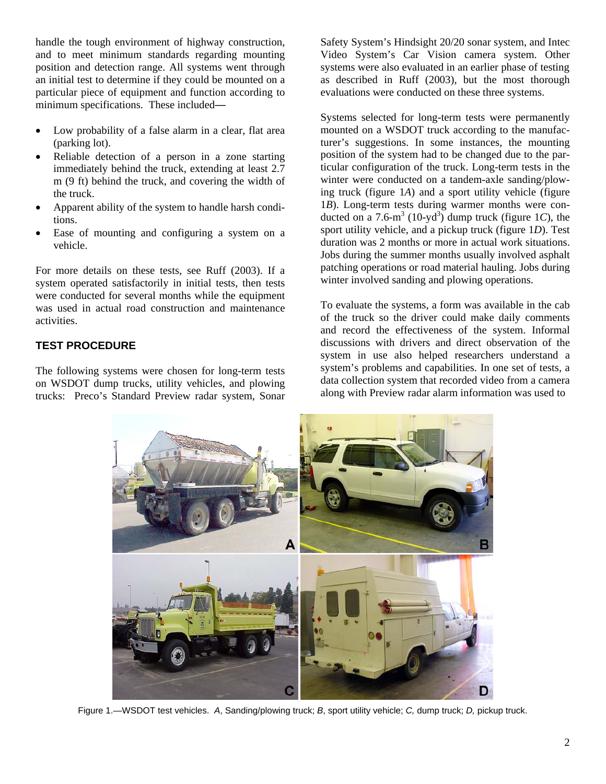handle the tough environment of highway construction, and to meet minimum standards regarding mounting position and detection range. All systems went through an initial test to determine if they could be mounted on a particular piece of equipment and function according to minimum specifications. These included—

- Low probability of a false alarm in a clear, flat area (parking lot).
- Reliable detection of a person in a zone starting immediately behind the truck, extending at least 2.7 m (9 ft) behind the truck, and covering the width of the truck.
- Apparent ability of the system to handle harsh conditions.
- Ease of mounting and configuring a system on a vehicle.

For more details on these tests, see Ruff (2003). If a system operated satisfactorily in initial tests, then tests were conducted for several months while the equipment was used in actual road construction and maintenance activities.

# **TEST PROCEDURE**

The following systems were chosen for long-term tests on WSDOT dump trucks, utility vehicles, and plowing trucks: Preco's Standard Preview radar system, Sonar Safety System's Hindsight 20/20 sonar system, and Intec Video System's Car Vision camera system. Other systems were also evaluated in an earlier phase of testing as described in Ruff (2003), but the most thorough evaluations were conducted on these three systems.

Systems selected for long-term tests were permanently mounted on a WSDOT truck according to the manufacturer's suggestions. In some instances, the mounting position of the system had to be changed due to the particular configuration of the truck. Long-term tests in the winter were conducted on a tandem-axle sanding/plowing truck (figure 1*A*) and a sport utility vehicle (figure 1*B*). Long-term tests during warmer months were conducted on a 7.6-m<sup>3</sup> (10-yd<sup>3</sup>) dump truck (figure 1*C*), the sport utility vehicle, and a pickup truck (figure 1*D*). Test duration was 2 months or more in actual work situations. Jobs during the summer months usually involved asphalt patching operations or road material hauling. Jobs during winter involved sanding and plowing operations.

To evaluate the systems, a form was available in the cab of the truck so the driver could make daily comments and record the effectiveness of the system. Informal discussions with drivers and direct observation of the system in use also helped researchers understand a system's problems and capabilities. In one set of tests, a data collection system that recorded video from a camera along with Preview radar alarm information was used to



Figure 1.—WSDOT test vehicles. *A*, Sanding/plowing truck; *B*, sport utility vehicle; *C,* dump truck; *D,* pickup truck.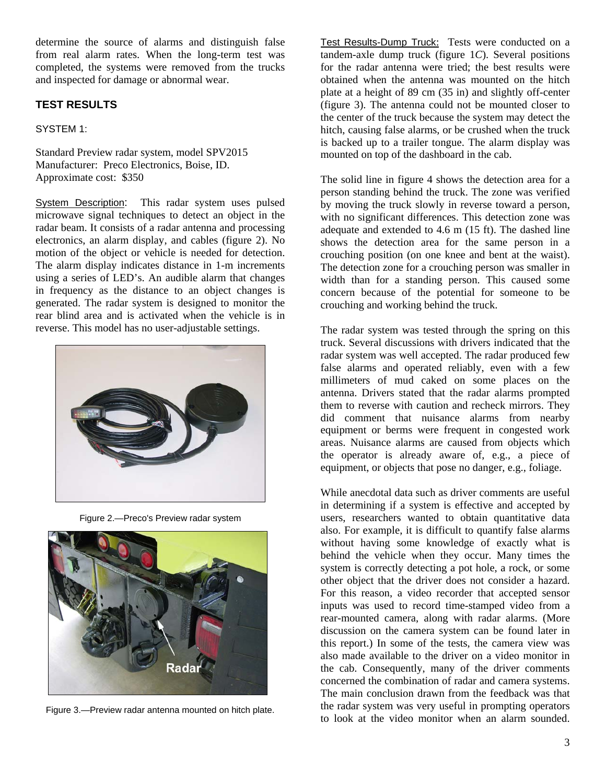determine the source of alarms and distinguish false from real alarm rates. When the long-term test was completed, the systems were removed from the trucks and inspected for damage or abnormal wear.

## **TEST RESULTS**

#### SYSTEM 1:

Standard Preview radar system, model SPV2015 Manufacturer: Preco Electronics, Boise, ID. Approximate cost: \$350

System Description: This radar system uses pulsed microwave signal techniques to detect an object in the radar beam. It consists of a radar antenna and processing electronics, an alarm display, and cables (figure 2). No motion of the object or vehicle is needed for detection. The alarm display indicates distance in 1-m increments using a series of LED's. An audible alarm that changes in frequency as the distance to an object changes is generated. The radar system is designed to monitor the rear blind area and is activated when the vehicle is in reverse. This model has no user-adjustable settings.



Figure 2.—Preco's Preview radar system



Figure 3.—Preview radar antenna mounted on hitch plate.

Test Results-Dump Truck: Tests were conducted on a tandem-axle dump truck (figure 1*C*). Several positions for the radar antenna were tried; the best results were obtained when the antenna was mounted on the hitch plate at a height of 89 cm (35 in) and slightly off-center (figure 3). The antenna could not be mounted closer to the center of the truck because the system may detect the hitch, causing false alarms, or be crushed when the truck is backed up to a trailer tongue. The alarm display was mounted on top of the dashboard in the cab.

The solid line in figure 4 shows the detection area for a person standing behind the truck. The zone was verified by moving the truck slowly in reverse toward a person, with no significant differences. This detection zone was adequate and extended to 4.6 m (15 ft). The dashed line shows the detection area for the same person in a crouching position (on one knee and bent at the waist). The detection zone for a crouching person was smaller in width than for a standing person. This caused some concern because of the potential for someone to be crouching and working behind the truck.

The radar system was tested through the spring on this truck. Several discussions with drivers indicated that the radar system was well accepted. The radar produced few false alarms and operated reliably, even with a few millimeters of mud caked on some places on the antenna. Drivers stated that the radar alarms prompted them to reverse with caution and recheck mirrors. They did comment that nuisance alarms from nearby equipment or berms were frequent in congested work areas. Nuisance alarms are caused from objects which the operator is already aware of, e.g., a piece of equipment, or objects that pose no danger, e.g., foliage.

While anecdotal data such as driver comments are useful in determining if a system is effective and accepted by users, researchers wanted to obtain quantitative data also. For example, it is difficult to quantify false alarms without having some knowledge of exactly what is behind the vehicle when they occur. Many times the system is correctly detecting a pot hole, a rock, or some other object that the driver does not consider a hazard. For this reason, a video recorder that accepted sensor inputs was used to record time-stamped video from a rear-mounted camera, along with radar alarms. (More discussion on the camera system can be found later in this report.) In some of the tests, the camera view was also made available to the driver on a video monitor in the cab. Consequently, many of the driver comments concerned the combination of radar and camera systems. The main conclusion drawn from the feedback was that the radar system was very useful in prompting operators to look at the video monitor when an alarm sounded.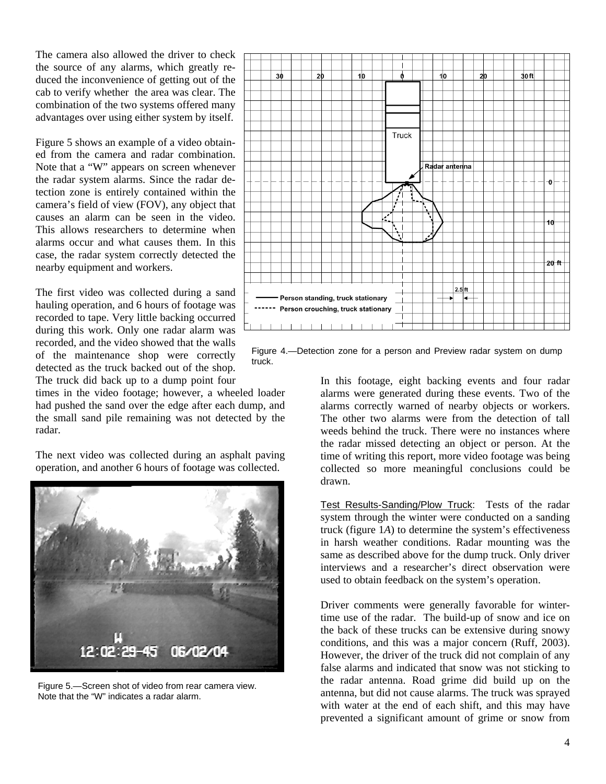The camera also allowed the driver to check the source of any alarms, which greatly reduced the inconvenience of getting out of the cab to verify whether the area was clear. The combination of the two systems offered many advantages over using either system by itself.

Figure 5 shows an example of a video obtained from the camera and radar combination. Note that a "W" appears on screen whenever the radar system alarms. Since the radar detection zone is entirely contained within the camera's field of view (FOV), any object that causes an alarm can be seen in the video. This allows researchers to determine when alarms occur and what causes them. In this case, the radar system correctly detected the nearby equipment and workers.

The first video was collected during a sand hauling operation, and 6 hours of footage was recorded to tape. Very little backing occurred during this work. Only one radar alarm was recorded, and the video showed that the walls of the maintenance shop were correctly detected as the truck backed out of the shop. The truck did back up to a dump point four

times in the video footage; however, a wheeled loader had pushed the sand over the edge after each dump, and the small sand pile remaining was not detected by the radar.

The next video was collected during an asphalt paving operation, and another 6 hours of footage was collected.



Figure 5.—Screen shot of video from rear camera view. Note that the "W" indicates a radar alarm.



Figure 4.—Detection zone for a person and Preview radar system on dump truck.

In this footage, eight backing events and four radar alarms were generated during these events. Two of the alarms correctly warned of nearby objects or workers. The other two alarms were from the detection of tall weeds behind the truck. There were no instances where the radar missed detecting an object or person. At the time of writing this report, more video footage was being collected so more meaningful conclusions could be drawn.

Test Results-Sanding/Plow Truck: Tests of the radar system through the winter were conducted on a sanding truck (figure 1*A*) to determine the system's effectiveness in harsh weather conditions. Radar mounting was the same as described above for the dump truck. Only driver interviews and a researcher's direct observation were used to obtain feedback on the system's operation.

Driver comments were generally favorable for wintertime use of the radar. The build-up of snow and ice on the back of these trucks can be extensive during snowy conditions, and this was a major concern (Ruff, 2003). However, the driver of the truck did not complain of any false alarms and indicated that snow was not sticking to the radar antenna. Road grime did build up on the antenna, but did not cause alarms. The truck was sprayed with water at the end of each shift, and this may have prevented a significant amount of grime or snow from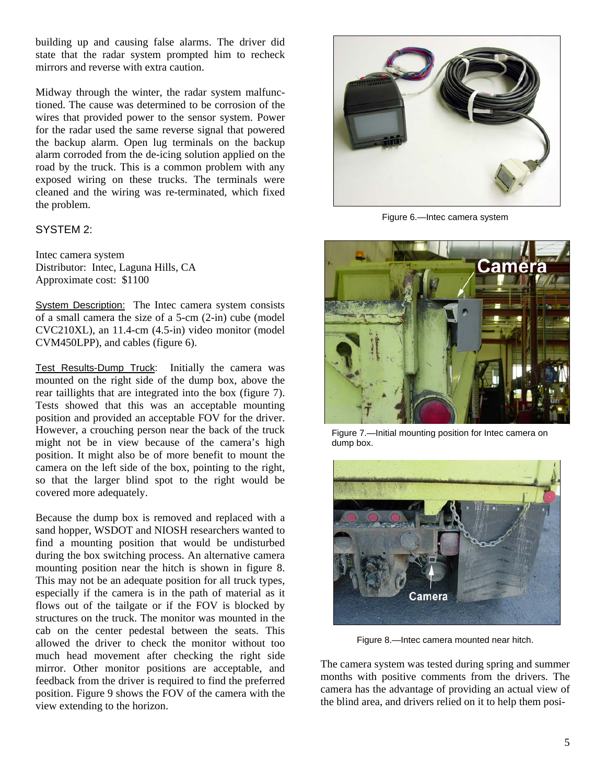building up and causing false alarms. The driver did state that the radar system prompted him to recheck mirrors and reverse with extra caution.

Midway through the winter, the radar system malfunctioned. The cause was determined to be corrosion of the wires that provided power to the sensor system. Power for the radar used the same reverse signal that powered the backup alarm. Open lug terminals on the backup alarm corroded from the de-icing solution applied on the road by the truck. This is a common problem with any exposed wiring on these trucks. The terminals were cleaned and the wiring was re-terminated, which fixed the problem.

#### SYSTEM 2:

Intec camera system Distributor: Intec, Laguna Hills, CA Approximate cost: \$1100

System Description: The Intec camera system consists of a small camera the size of a 5-cm (2-in) cube (model CVC210XL), an 11.4-cm (4.5-in) video monitor (model CVM450LPP), and cables (figure 6).

Test Results-Dump Truck: Initially the camera was mounted on the right side of the dump box, above the rear taillights that are integrated into the box (figure 7). Tests showed that this was an acceptable mounting position and provided an acceptable FOV for the driver. However, a crouching person near the back of the truck might not be in view because of the camera's high position. It might also be of more benefit to mount the camera on the left side of the box, pointing to the right, so that the larger blind spot to the right would be covered more adequately.

Because the dump box is removed and replaced with a sand hopper, WSDOT and NIOSH researchers wanted to find a mounting position that would be undisturbed during the box switching process. An alternative camera mounting position near the hitch is shown in figure 8. This may not be an adequate position for all truck types, especially if the camera is in the path of material as it flows out of the tailgate or if the FOV is blocked by structures on the truck. The monitor was mounted in the cab on the center pedestal between the seats. This allowed the driver to check the monitor without too much head movement after checking the right side mirror. Other monitor positions are acceptable, and feedback from the driver is required to find the preferred position. Figure 9 shows the FOV of the camera with the view extending to the horizon.



Figure 6.—Intec camera system



Figure 7.—Initial mounting position for Intec camera on dump box.



Figure 8.—Intec camera mounted near hitch.

The camera system was tested during spring and summer months with positive comments from the drivers. The camera has the advantage of providing an actual view of the blind area, and drivers relied on it to help them posi-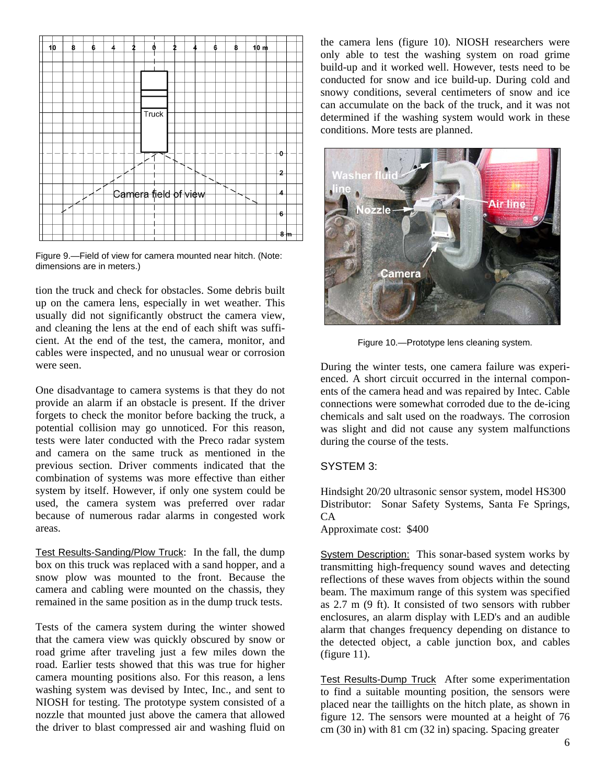

Figure 9.—Field of view for camera mounted near hitch. (Note: dimensions are in meters.)

tion the truck and check for obstacles. Some debris built up on the camera lens, especially in wet weather. This usually did not significantly obstruct the camera view, and cleaning the lens at the end of each shift was sufficient. At the end of the test, the camera, monitor, and cables were inspected, and no unusual wear or corrosion were seen.

One disadvantage to camera systems is that they do not provide an alarm if an obstacle is present. If the driver forgets to check the monitor before backing the truck, a potential collision may go unnoticed. For this reason, tests were later conducted with the Preco radar system and camera on the same truck as mentioned in the previous section. Driver comments indicated that the combination of systems was more effective than either system by itself. However, if only one system could be used, the camera system was preferred over radar because of numerous radar alarms in congested work areas.

Test Results-Sanding/Plow Truck: In the fall, the dump box on this truck was replaced with a sand hopper, and a snow plow was mounted to the front. Because the camera and cabling were mounted on the chassis, they remained in the same position as in the dump truck tests.

Tests of the camera system during the winter showed that the camera view was quickly obscured by snow or road grime after traveling just a few miles down the road. Earlier tests showed that this was true for higher camera mounting positions also. For this reason, a lens washing system was devised by Intec, Inc., and sent to NIOSH for testing. The prototype system consisted of a nozzle that mounted just above the camera that allowed the driver to blast compressed air and washing fluid on

the camera lens (figure 10). NIOSH researchers were only able to test the washing system on road grime build-up and it worked well. However, tests need to be conducted for snow and ice build-up. During cold and snowy conditions, several centimeters of snow and ice can accumulate on the back of the truck, and it was not determined if the washing system would work in these conditions. More tests are planned.



Figure 10.—Prototype lens cleaning system.

During the winter tests, one camera failure was experienced. A short circuit occurred in the internal components of the camera head and was repaired by Intec. Cable connections were somewhat corroded due to the de-icing chemicals and salt used on the roadways. The corrosion was slight and did not cause any system malfunctions during the course of the tests.

#### SYSTEM 3:

Hindsight 20/20 ultrasonic sensor system, model HS300 Distributor: Sonar Safety Systems, Santa Fe Springs, CA

Approximate cost: \$400

System Description: This sonar-based system works by transmitting high-frequency sound waves and detecting reflections of these waves from objects within the sound beam. The maximum range of this system was specified as 2.7 m (9 ft). It consisted of two sensors with rubber enclosures, an alarm display with LED's and an audible alarm that changes frequency depending on distance to the detected object, a cable junction box, and cables  $(figure 11)$ .

Test Results-Dump Truck After some experimentation to find a suitable mounting position, the sensors were placed near the taillights on the hitch plate, as shown in figure 12. The sensors were mounted at a height of 76 cm (30 in) with 81 cm (32 in) spacing. Spacing greater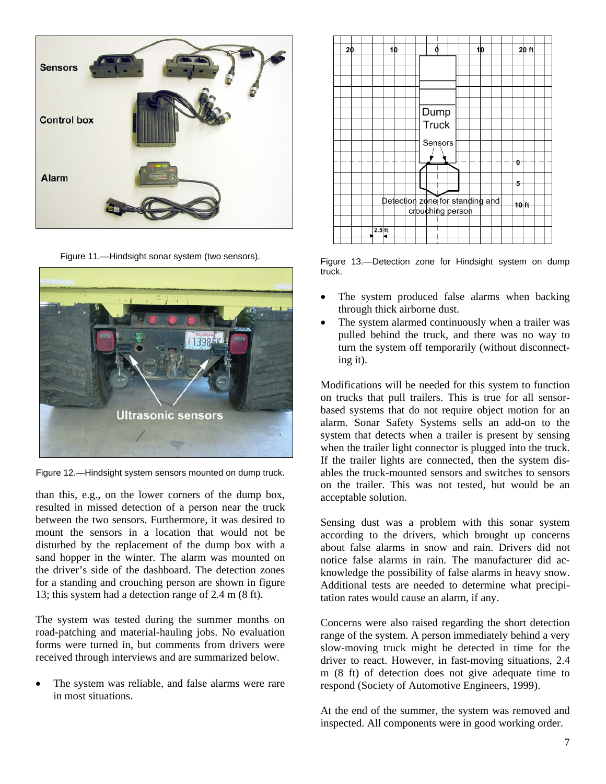

Figure 11.—Hindsight sonar system (two sensors).



Figure 12.—Hindsight system sensors mounted on dump truck.

than this, e.g., on the lower corners of the dump box, resulted in missed detection of a person near the truck between the two sensors. Furthermore, it was desired to mount the sensors in a location that would not be disturbed by the replacement of the dump box with a sand hopper in the winter. The alarm was mounted on the driver's side of the dashboard. The detection zones for a standing and crouching person are shown in figure 13; this system had a detection range of 2.4 m (8 ft).

The system was tested during the summer months on road-patching and material-hauling jobs. No evaluation forms were turned in, but comments from drivers were received through interviews and are summarized below.

The system was reliable, and false alarms were rare in most situations.



Figure 13.—Detection zone for Hindsight system on dump truck.

- The system produced false alarms when backing through thick airborne dust.
- The system alarmed continuously when a trailer was pulled behind the truck, and there was no way to turn the system off temporarily (without disconnecting it).

Modifications will be needed for this system to function on trucks that pull trailers. This is true for all sensorbased systems that do not require object motion for an alarm. Sonar Safety Systems sells an add-on to the system that detects when a trailer is present by sensing when the trailer light connector is plugged into the truck. If the trailer lights are connected, then the system disables the truck-mounted sensors and switches to sensors on the trailer. This was not tested, but would be an acceptable solution.

Sensing dust was a problem with this sonar system according to the drivers, which brought up concerns about false alarms in snow and rain. Drivers did not notice false alarms in rain. The manufacturer did acknowledge the possibility of false alarms in heavy snow. Additional tests are needed to determine what precipitation rates would cause an alarm, if any.

Concerns were also raised regarding the short detection range of the system. A person immediately behind a very slow-moving truck might be detected in time for the driver to react. However, in fast-moving situations, 2.4 m (8 ft) of detection does not give adequate time to respond (Society of Automotive Engineers, 1999).

At the end of the summer, the system was removed and inspected. All components were in good working order.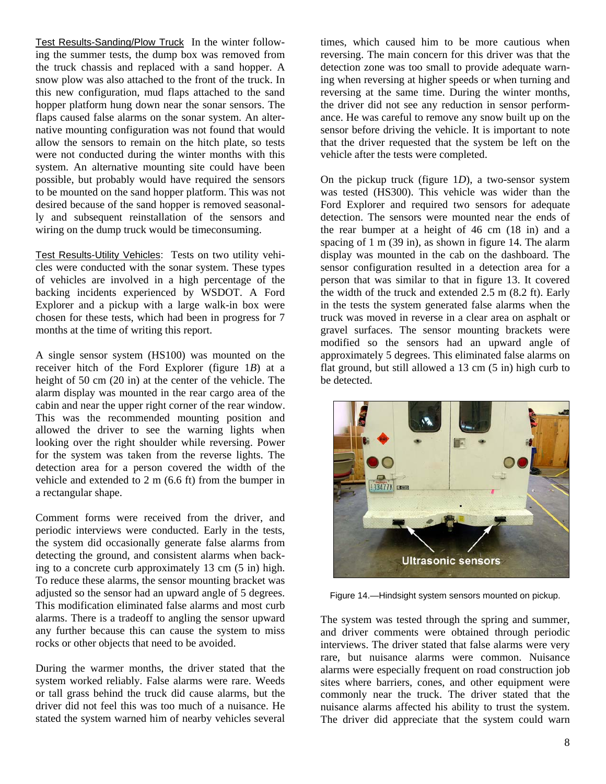Test Results-Sanding/Plow Truck In the winter following the summer tests, the dump box was removed from the truck chassis and replaced with a sand hopper. A snow plow was also attached to the front of the truck. In this new configuration, mud flaps attached to the sand hopper platform hung down near the sonar sensors. The flaps caused false alarms on the sonar system. An alternative mounting configuration was not found that would allow the sensors to remain on the hitch plate, so tests were not conducted during the winter months with this system. An alternative mounting site could have been possible, but probably would have required the sensors to be mounted on the sand hopper platform. This was not desired because of the sand hopper is removed seasonally and subsequent reinstallation of the sensors and wiring on the dump truck would be timeconsuming.

Test Results-Utility Vehicles: Tests on two utility vehicles were conducted with the sonar system. These types of vehicles are involved in a high percentage of the backing incidents experienced by WSDOT. A Ford Explorer and a pickup with a large walk-in box were chosen for these tests, which had been in progress for 7 months at the time of writing this report.

A single sensor system (HS100) was mounted on the receiver hitch of the Ford Explorer (figure 1*B*) at a height of 50 cm (20 in) at the center of the vehicle. The alarm display was mounted in the rear cargo area of the cabin and near the upper right corner of the rear window. This was the recommended mounting position and allowed the driver to see the warning lights when looking over the right shoulder while reversing. Power for the system was taken from the reverse lights. The detection area for a person covered the width of the vehicle and extended to 2 m (6.6 ft) from the bumper in a rectangular shape.

Comment forms were received from the driver, and periodic interviews were conducted. Early in the tests, the system did occasionally generate false alarms from detecting the ground, and consistent alarms when backing to a concrete curb approximately 13 cm (5 in) high. To reduce these alarms, the sensor mounting bracket was adjusted so the sensor had an upward angle of 5 degrees. This modification eliminated false alarms and most curb alarms. There is a tradeoff to angling the sensor upward any further because this can cause the system to miss rocks or other objects that need to be avoided.

During the warmer months, the driver stated that the system worked reliably. False alarms were rare. Weeds or tall grass behind the truck did cause alarms, but the driver did not feel this was too much of a nuisance. He stated the system warned him of nearby vehicles several times, which caused him to be more cautious when reversing. The main concern for this driver was that the detection zone was too small to provide adequate warning when reversing at higher speeds or when turning and reversing at the same time. During the winter months, the driver did not see any reduction in sensor performance. He was careful to remove any snow built up on the sensor before driving the vehicle. It is important to note that the driver requested that the system be left on the vehicle after the tests were completed.

On the pickup truck (figure 1*D*), a two-sensor system was tested (HS300). This vehicle was wider than the Ford Explorer and required two sensors for adequate detection. The sensors were mounted near the ends of the rear bumper at a height of 46 cm (18 in) and a spacing of 1 m (39 in), as shown in figure 14. The alarm display was mounted in the cab on the dashboard. The sensor configuration resulted in a detection area for a person that was similar to that in figure 13. It covered the width of the truck and extended 2.5 m (8.2 ft). Early in the tests the system generated false alarms when the truck was moved in reverse in a clear area on asphalt or gravel surfaces. The sensor mounting brackets were modified so the sensors had an upward angle of approximately 5 degrees. This eliminated false alarms on flat ground, but still allowed a 13 cm (5 in) high curb to be detected.



Figure 14.—Hindsight system sensors mounted on pickup.

The system was tested through the spring and summer, and driver comments were obtained through periodic interviews. The driver stated that false alarms were very rare, but nuisance alarms were common. Nuisance alarms were especially frequent on road construction job sites where barriers, cones, and other equipment were commonly near the truck. The driver stated that the nuisance alarms affected his ability to trust the system. The driver did appreciate that the system could warn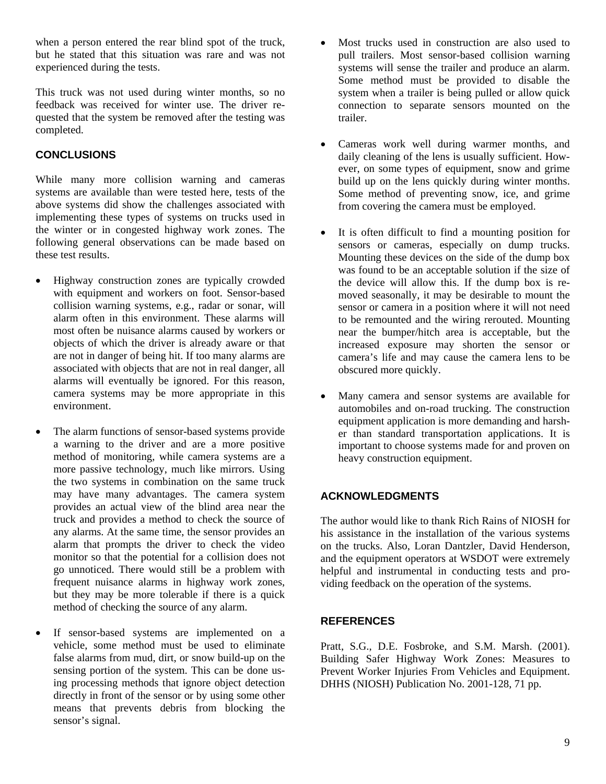when a person entered the rear blind spot of the truck, but he stated that this situation was rare and was not experienced during the tests.

This truck was not used during winter months, so no feedback was received for winter use. The driver requested that the system be removed after the testing was completed.

# **CONCLUSIONS**

While many more collision warning and cameras systems are available than were tested here, tests of the above systems did show the challenges associated with implementing these types of systems on trucks used in the winter or in congested highway work zones. The following general observations can be made based on these test results.

- Highway construction zones are typically crowded with equipment and workers on foot. Sensor-based collision warning systems, e.g., radar or sonar, will alarm often in this environment. These alarms will most often be nuisance alarms caused by workers or objects of which the driver is already aware or that are not in danger of being hit. If too many alarms are associated with objects that are not in real danger, all alarms will eventually be ignored. For this reason, camera systems may be more appropriate in this environment.
- The alarm functions of sensor-based systems provide a warning to the driver and are a more positive method of monitoring, while camera systems are a more passive technology, much like mirrors. Using the two systems in combination on the same truck may have many advantages. The camera system provides an actual view of the blind area near the truck and provides a method to check the source of any alarms. At the same time, the sensor provides an alarm that prompts the driver to check the video monitor so that the potential for a collision does not go unnoticed. There would still be a problem with frequent nuisance alarms in highway work zones, but they may be more tolerable if there is a quick method of checking the source of any alarm.
- If sensor-based systems are implemented on a vehicle, some method must be used to eliminate false alarms from mud, dirt, or snow build-up on the sensing portion of the system. This can be done using processing methods that ignore object detection directly in front of the sensor or by using some other means that prevents debris from blocking the sensor's signal.
- Most trucks used in construction are also used to pull trailers. Most sensor-based collision warning systems will sense the trailer and produce an alarm. Some method must be provided to disable the system when a trailer is being pulled or allow quick connection to separate sensors mounted on the trailer.
- Cameras work well during warmer months, and daily cleaning of the lens is usually sufficient. However, on some types of equipment, snow and grime build up on the lens quickly during winter months. Some method of preventing snow, ice, and grime from covering the camera must be employed.
- It is often difficult to find a mounting position for sensors or cameras, especially on dump trucks. Mounting these devices on the side of the dump box was found to be an acceptable solution if the size of the device will allow this. If the dump box is removed seasonally, it may be desirable to mount the sensor or camera in a position where it will not need to be remounted and the wiring rerouted. Mounting near the bumper/hitch area is acceptable, but the increased exposure may shorten the sensor or camera's life and may cause the camera lens to be obscured more quickly.
- Many camera and sensor systems are available for automobiles and on-road trucking. The construction equipment application is more demanding and harsher than standard transportation applications. It is important to choose systems made for and proven on heavy construction equipment.

# **ACKNOWLEDGMENTS**

The author would like to thank Rich Rains of NIOSH for his assistance in the installation of the various systems on the trucks. Also, Loran Dantzler, David Henderson, and the equipment operators at WSDOT were extremely helpful and instrumental in conducting tests and providing feedback on the operation of the systems.

## **REFERENCES**

Pratt, S.G., D.E. Fosbroke, and S.M. Marsh. (2001). Building Safer Highway Work Zones: Measures to Prevent Worker Injuries From Vehicles and Equipment. DHHS (NIOSH) Publication No. 2001-128, 71 pp.